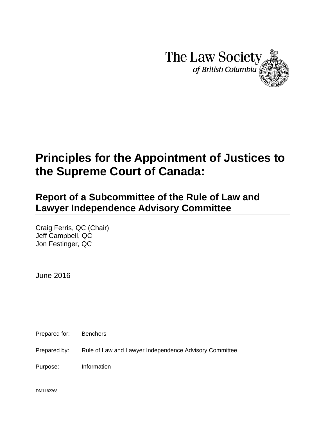

# **Principles for the Appointment of Justices to the Supreme Court of Canada:**

## **Report of a Subcommittee of the Rule of Law and Lawyer Independence Advisory Committee**

Craig Ferris, QC (Chair) Jeff Campbell, QC Jon Festinger, QC

June 2016

Prepared for: Benchers

Prepared by: Rule of Law and Lawyer Independence Advisory Committee

Purpose: Information

DM1182268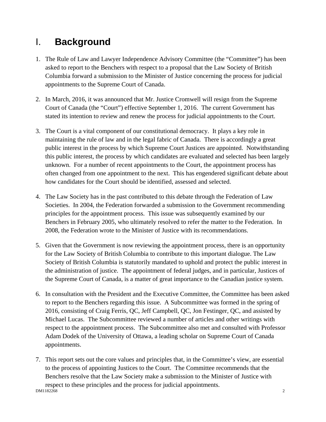## I. **Background**

- 1. The Rule of Law and Lawyer Independence Advisory Committee (the "Committee") has been asked to report to the Benchers with respect to a proposal that the Law Society of British Columbia forward a submission to the Minister of Justice concerning the process for judicial appointments to the Supreme Court of Canada.
- 2. In March, 2016, it was announced that Mr. Justice Cromwell will resign from the Supreme Court of Canada (the "Court") effective September 1, 2016. The current Government has stated its intention to review and renew the process for judicial appointments to the Court.
- 3. The Court is a vital component of our constitutional democracy. It plays a key role in maintaining the rule of law and in the legal fabric of Canada. There is accordingly a great public interest in the process by which Supreme Court Justices are appointed. Notwithstanding this public interest, the process by which candidates are evaluated and selected has been largely unknown. For a number of recent appointments to the Court, the appointment process has often changed from one appointment to the next. This has engendered significant debate about how candidates for the Court should be identified, assessed and selected.
- 4. The Law Society has in the past contributed to this debate through the Federation of Law Societies. In 2004, the Federation forwarded a submission to the Government recommending principles for the appointment process. This issue was subsequently examined by our Benchers in February 2005, who ultimately resolved to refer the matter to the Federation. In 2008, the Federation wrote to the Minister of Justice with its recommendations.
- 5. Given that the Government is now reviewing the appointment process, there is an opportunity for the Law Society of British Columbia to contribute to this important dialogue. The Law Society of British Columbia is statutorily mandated to uphold and protect the public interest in the administration of justice. The appointment of federal judges, and in particular, Justices of the Supreme Court of Canada, is a matter of great importance to the Canadian justice system.
- 6. In consultation with the President and the Executive Committee, the Committee has been asked to report to the Benchers regarding this issue. A Subcommittee was formed in the spring of 2016, consisting of Craig Ferris, QC, Jeff Campbell, QC, Jon Festinger, QC, and assisted by Michael Lucas. The Subcommittee reviewed a number of articles and other writings with respect to the appointment process. The Subcommittee also met and consulted with Professor Adam Dodek of the University of Ottawa, a leading scholar on Supreme Court of Canada appointments.
- **DM1182268** 2 7. This report sets out the core values and principles that, in the Committee's view, are essential to the process of appointing Justices to the Court. The Committee recommends that the Benchers resolve that the Law Society make a submission to the Minister of Justice with respect to these principles and the process for judicial appointments.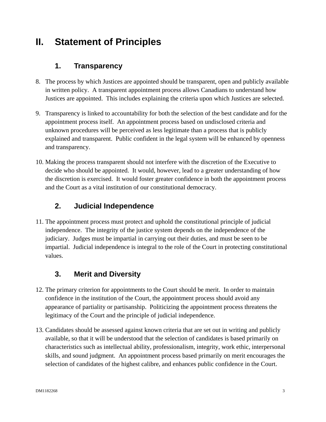### **II. Statement of Principles**

#### **1. Transparency**

- 8. The process by which Justices are appointed should be transparent, open and publicly available in written policy. A transparent appointment process allows Canadians to understand how Justices are appointed. This includes explaining the criteria upon which Justices are selected.
- 9. Transparency is linked to accountability for both the selection of the best candidate and for the appointment process itself. An appointment process based on undisclosed criteria and unknown procedures will be perceived as less legitimate than a process that is publicly explained and transparent. Public confident in the legal system will be enhanced by openness and transparency.
- 10. Making the process transparent should not interfere with the discretion of the Executive to decide who should be appointed. It would, however, lead to a greater understanding of how the discretion is exercised. It would foster greater confidence in both the appointment process and the Court as a vital institution of our constitutional democracy.

#### **2. Judicial Independence**

11. The appointment process must protect and uphold the constitutional principle of judicial independence. The integrity of the justice system depends on the independence of the judiciary. Judges must be impartial in carrying out their duties, and must be seen to be impartial. Judicial independence is integral to the role of the Court in protecting constitutional values.

### **3. Merit and Diversity**

- 12. The primary criterion for appointments to the Court should be merit. In order to maintain confidence in the institution of the Court, the appointment process should avoid any appearance of partiality or partisanship. Politicizing the appointment process threatens the legitimacy of the Court and the principle of judicial independence.
- 13. Candidates should be assessed against known criteria that are set out in writing and publicly available, so that it will be understood that the selection of candidates is based primarily on characteristics such as intellectual ability, professionalism, integrity, work ethic, interpersonal skills, and sound judgment. An appointment process based primarily on merit encourages the selection of candidates of the highest calibre, and enhances public confidence in the Court.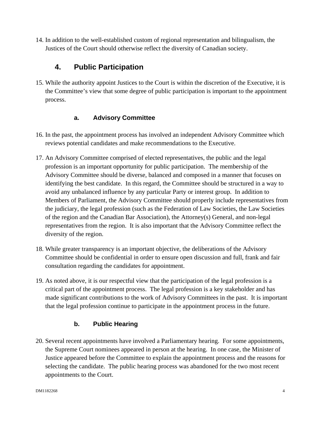14. In addition to the well-established custom of regional representation and bilingualism, the Justices of the Court should otherwise reflect the diversity of Canadian society.

#### **4. Public Participation**

15. While the authority appoint Justices to the Court is within the discretion of the Executive, it is the Committee's view that some degree of public participation is important to the appointment process.

#### **a. Advisory Committee**

- 16. In the past, the appointment process has involved an independent Advisory Committee which reviews potential candidates and make recommendations to the Executive.
- 17. An Advisory Committee comprised of elected representatives, the public and the legal profession is an important opportunity for public participation. The membership of the Advisory Committee should be diverse, balanced and composed in a manner that focuses on identifying the best candidate. In this regard, the Committee should be structured in a way to avoid any unbalanced influence by any particular Party or interest group. In addition to Members of Parliament, the Advisory Committee should properly include representatives from the judiciary, the legal profession (such as the Federation of Law Societies, the Law Societies of the region and the Canadian Bar Association), the Attorney(s) General, and non-legal representatives from the region. It is also important that the Advisory Committee reflect the diversity of the region.
- 18. While greater transparency is an important objective, the deliberations of the Advisory Committee should be confidential in order to ensure open discussion and full, frank and fair consultation regarding the candidates for appointment.
- 19. As noted above, it is our respectful view that the participation of the legal profession is a critical part of the appointment process. The legal profession is a key stakeholder and has made significant contributions to the work of Advisory Committees in the past. It is important that the legal profession continue to participate in the appointment process in the future.

#### **b. Public Hearing**

20. Several recent appointments have involved a Parliamentary hearing. For some appointments, the Supreme Court nominees appeared in person at the hearing. In one case, the Minister of Justice appeared before the Committee to explain the appointment process and the reasons for selecting the candidate. The public hearing process was abandoned for the two most recent appointments to the Court.